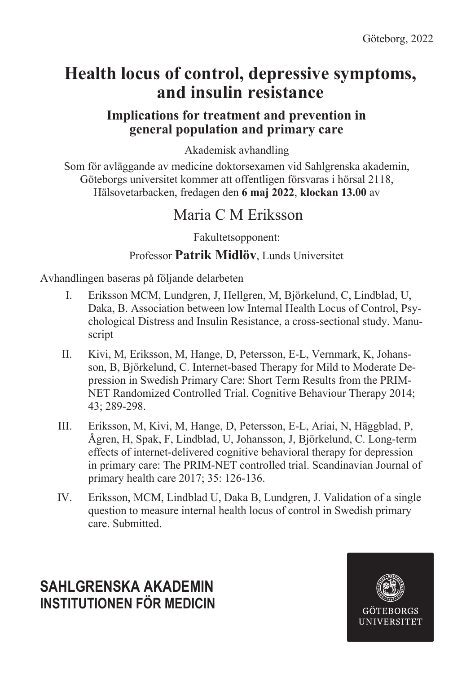# **Health locus of control, depressive symptoms, and insulin resistance**

## **Implications for treatment and prevention in general population and primary care**

Akademisk avhandling

Som för avläggande av medicine doktorsexamen vid Sahlgrenska akademin, Göteborgs universitet kommer att offentligen försvaras i hörsal 2118, Hälsovetarbacken, fredagen den **6 maj 2022**, **klockan 13.00** av

## Maria C M Eriksson

Fakultetsopponent:

### Professor **Patrik Midlöv**, Lunds Universitet

Avhandlingen baseras på följande delarbeten

- I. Eriksson MCM, Lundgren, J, Hellgren, M, Björkelund, C, Lindblad, U, Daka, B. Association between low Internal Health Locus of Control, Psychological Distress and Insulin Resistance, a cross-sectional study. Manuscript
- II. Kivi, M, Eriksson, M, Hange, D, Petersson, E-L, Vernmark, K, Johansson, B, Björkelund, C. Internet-based Therapy for Mild to Moderate Depression in Swedish Primary Care: Short Term Results from the PRIM-NET Randomized Controlled Trial. Cognitive Behaviour Therapy 2014; 43; 289-298.
- III. Eriksson, M, Kivi, M, Hange, D, Petersson, E-L, Ariai, N, Häggblad, P, Ågren, H, Spak, F, Lindblad, U, Johansson, J, Björkelund, C. Long-term effects of internet-delivered cognitive behavioral therapy for depression in primary care: The PRIM-NET controlled trial. Scandinavian Journal of primary health care 2017; 35: 126-136.
- IV. Eriksson, MCM, Lindblad U, Daka B, Lundgren, J. Validation of a single question to measure internal health locus of control in Swedish primary care. Submitted.

## **SAHLGRENSKA AKADEMIN INSTITUTIONEN FÖR MEDICIN**